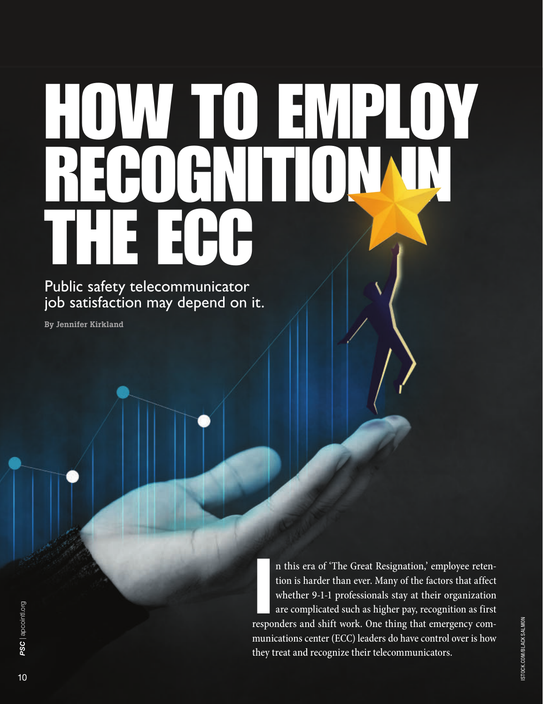## HOW TO EMPLOY  $\bigcup$ THE

Public safety telecommunicator job satisfaction may depend on it.

By Jennifer Kirkland

In this era of 'The Great Resignation,' employee retention is harder than ever. Many of the factors that affect whether 9-1-1 professionals stay at their organization are complicated such as higher pay, recognition as firs n this era of 'The Great Resignation,' employee retention is harder than ever. Many of the factors that affect whether 9-1-1 professionals stay at their organization are complicated such as higher pay, recognition as first munications center (ECC) leaders do have control over is how they treat and recognize their telecommunicators.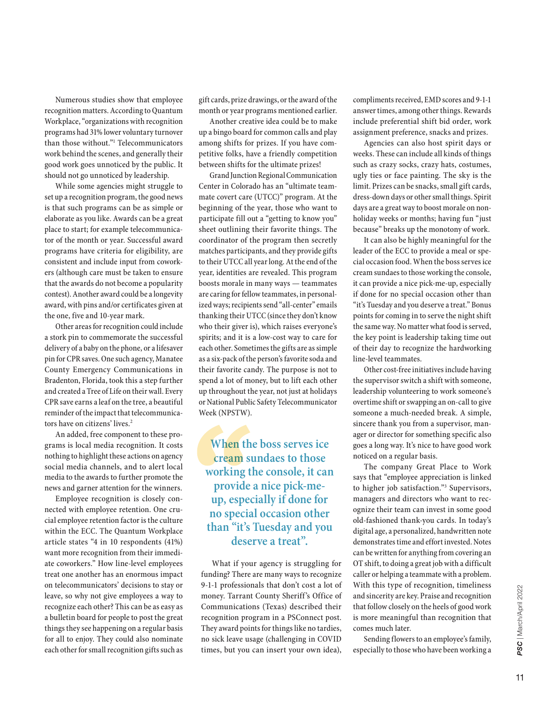Numerous studies show that employee recognition matters. According to Quantum Workplace, "organizations with recognition programs had 31% lower voluntary turnover than those without."1 Telecommunicators work behind the scenes, and generally their good work goes unnoticed by the public. It should not go unnoticed by leadership.

While some agencies might struggle to set up a recognition program, the good news is that such programs can be as simple or elaborate as you like. Awards can be a great place to start; for example telecommunicator of the month or year. Successful award programs have criteria for eligibility, are consistent and include input from coworkers (although care must be taken to ensure that the awards do not become a popularity contest). Another award could be a longevity award, with pins and/or certificates given at the one, five and 10-year mark.

Other areas for recognition could include a stork pin to commemorate the successful delivery of a baby on the phone, or a lifesaver pin for CPR saves. One such agency, Manatee County Emergency Communications in Bradenton, Florida, took this a step further and created a Tree of Life on their wall. Every CPR save earns a leaf on the tree, a beautiful reminder of the impact that telecommunicators have on citizens' lives.<sup>2</sup>

An added, free component to these programs is local media recognition. It costs nothing to highlight these actions on agency social media channels, and to alert local media to the awards to further promote the news and garner attention for the winners.

Employee recognition is closely connected with employee retention. One crucial employee retention factor is the culture within the ECC. The Quantum Workplace article states "4 in 10 respondents (41%) want more recognition from their immediate coworkers." How line-level employees treat one another has an enormous impact on telecommunicators' decisions to stay or leave, so why not give employees a way to recognize each other? This can be as easy as a bulletin board for people to post the great things they see happening on a regular basis for all to enjoy. They could also nominate each other for small recognition gifts such as gift cards, prize drawings, or the award of the month or year programs mentioned earlier.

Another creative idea could be to make up a bingo board for common calls and play among shifts for prizes. If you have competitive folks, have a friendly competition between shifts for the ultimate prizes!

Grand Junction Regional Communication Center in Colorado has an "ultimate teammate covert care (UTCC)" program. At the beginning of the year, those who want to participate fill out a "getting to know you" sheet outlining their favorite things. The coordinator of the program then secretly matches participants, and they provide gifts to their UTCC all year long. At the end of the year, identities are revealed. This program boosts morale in many ways — teammates are caring for fellow teammates, in personalized ways; recipients send "all-center" emails thanking their UTCC (since they don't know who their giver is), which raises everyone's spirits; and it is a low-cost way to care for each other. Sometimes the gifts are as simple as a six-pack of the person's favorite soda and their favorite candy. The purpose is not to spend a lot of money, but to lift each other up throughout the year, not just at holidays or National Public Safety Telecommunicator Week (NPSTW).

**When the boss serves ice cream sundaes to those working the console, it can provide a nice pick-meup, especially if done for no special occasion other than "it's Tuesday and you deserve a treat".**

What if your agency is struggling for funding? There are many ways to recognize 9-1-1 professionals that don't cost a lot of money. Tarrant County Sheriff's Office of Communications (Texas) described their recognition program in a PSConnect post. They award points for things like no tardies, no sick leave usage (challenging in COVID times, but you can insert your own idea),

compliments received, EMD scores and 9-1-1 answer times, among other things. Rewards include preferential shift bid order, work assignment preference, snacks and prizes.

Agencies can also host spirit days or weeks. These can include all kinds of things such as crazy socks, crazy hats, costumes, ugly ties or face painting. The sky is the limit. Prizes can be snacks, small gift cards, dress-down days or other small things. Spirit days are a great way to boost morale on nonholiday weeks or months; having fun "just because" breaks up the monotony of work.

It can also be highly meaningful for the leader of the ECC to provide a meal or special occasion food. When the boss serves ice cream sundaes to those working the console, it can provide a nice pick-me-up, especially if done for no special occasion other than "it's Tuesday and you deserve a treat." Bonus points for coming in to serve the night shift the same way. No matter what food is served, the key point is leadership taking time out of their day to recognize the hardworking line-level teammates.

Other cost-free initiatives include having the supervisor switch a shift with someone, leadership volunteering to work someone's overtime shift or swapping an on-call to give someone a much-needed break. A simple, sincere thank you from a supervisor, manager or director for something specific also goes a long way. It's nice to have good work noticed on a regular basis.

The company Great Place to Work says that "employee appreciation is linked to higher job satisfaction."3 Supervisors, managers and directors who want to recognize their team can invest in some good old-fashioned thank-you cards. In today's digital age, a personalized, handwritten note demonstrates time and effort invested. Notes can be written for anything from covering an OT shift, to doing a great job with a difficult caller or helping a teammate with a problem. With this type of recognition, timeliness and sincerity are key. Praise and recognition that follow closely on the heels of good work is more meaningful than recognition that comes much later.

Sending flowers to an employee's family, especially to those who have been working a